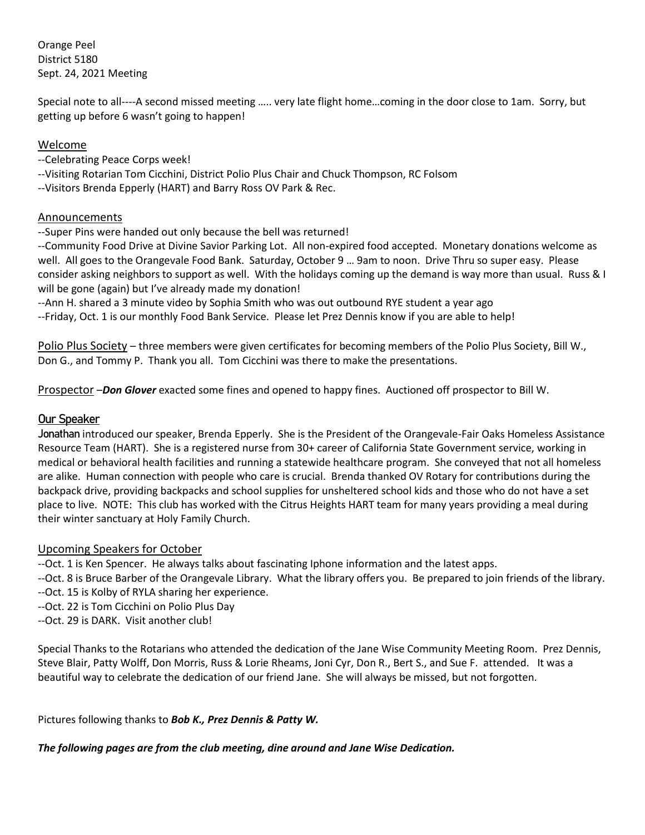Orange Peel District 5180 Sept. 24, 2021 Meeting

Special note to all----A second missed meeting ….. very late flight home…coming in the door close to 1am. Sorry, but getting up before 6 wasn't going to happen!

## Welcome

--Celebrating Peace Corps week!

--Visiting Rotarian Tom Cicchini, District Polio Plus Chair and Chuck Thompson, RC Folsom

--Visitors Brenda Epperly (HART) and Barry Ross OV Park & Rec.

## **Announcements**

--Super Pins were handed out only because the bell was returned!

--Community Food Drive at Divine Savior Parking Lot. All non-expired food accepted. Monetary donations welcome as well. All goes to the Orangevale Food Bank. Saturday, October 9 … 9am to noon. Drive Thru so super easy. Please consider asking neighbors to support as well. With the holidays coming up the demand is way more than usual. Russ & I will be gone (again) but I've already made my donation!

--Ann H. shared a 3 minute video by Sophia Smith who was out outbound RYE student a year ago --Friday, Oct. 1 is our monthly Food Bank Service. Please let Prez Dennis know if you are able to help!

Polio Plus Society – three members were given certificates for becoming members of the Polio Plus Society, Bill W., Don G., and Tommy P. Thank you all. Tom Cicchini was there to make the presentations.

Prospector –*Don Glover* exacted some fines and opened to happy fines. Auctioned off prospector to Bill W.

# Our Speaker

Jonathan introduced our speaker, Brenda Epperly. She is the President of the Orangevale-Fair Oaks Homeless Assistance Resource Team (HART). She is a registered nurse from 30+ career of California State Government service, working in medical or behavioral health facilities and running a statewide healthcare program. She conveyed that not all homeless are alike. Human connection with people who care is crucial. Brenda thanked OV Rotary for contributions during the backpack drive, providing backpacks and school supplies for unsheltered school kids and those who do not have a set place to live. NOTE: This club has worked with the Citrus Heights HART team for many years providing a meal during their winter sanctuary at Holy Family Church.

#### Upcoming Speakers for October

- --Oct. 1 is Ken Spencer. He always talks about fascinating Iphone information and the latest apps.
- --Oct. 8 is Bruce Barber of the Orangevale Library. What the library offers you. Be prepared to join friends of the library.
- --Oct. 15 is Kolby of RYLA sharing her experience.
- --Oct. 22 is Tom Cicchini on Polio Plus Day
- --Oct. 29 is DARK. Visit another club!

Special Thanks to the Rotarians who attended the dedication of the Jane Wise Community Meeting Room. Prez Dennis, Steve Blair, Patty Wolff, Don Morris, Russ & Lorie Rheams, Joni Cyr, Don R., Bert S., and Sue F. attended. It was a beautiful way to celebrate the dedication of our friend Jane. She will always be missed, but not forgotten.

Pictures following thanks to *Bob K., Prez Dennis & Patty W.*

*The following pages are from the club meeting, dine around and Jane Wise Dedication.*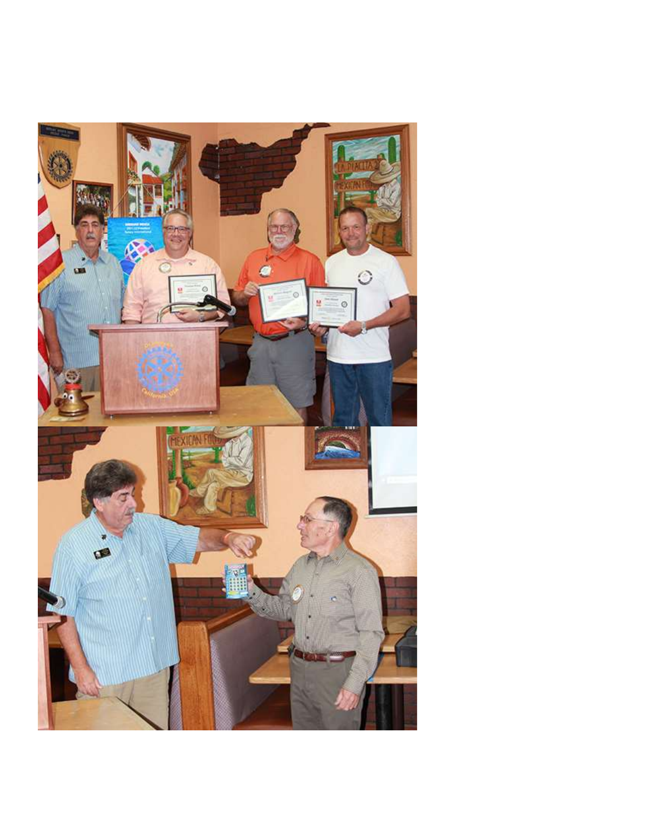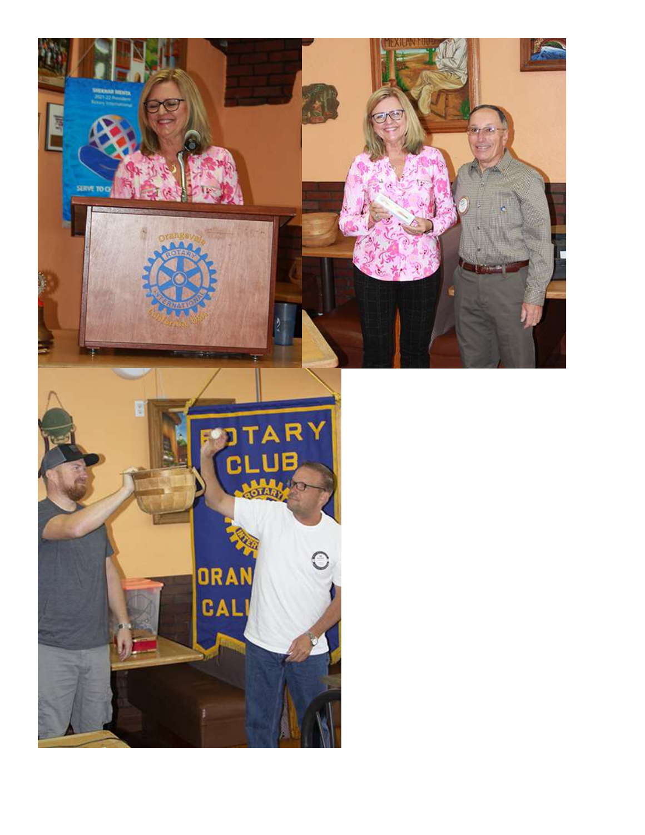![](_page_2_Picture_0.jpeg)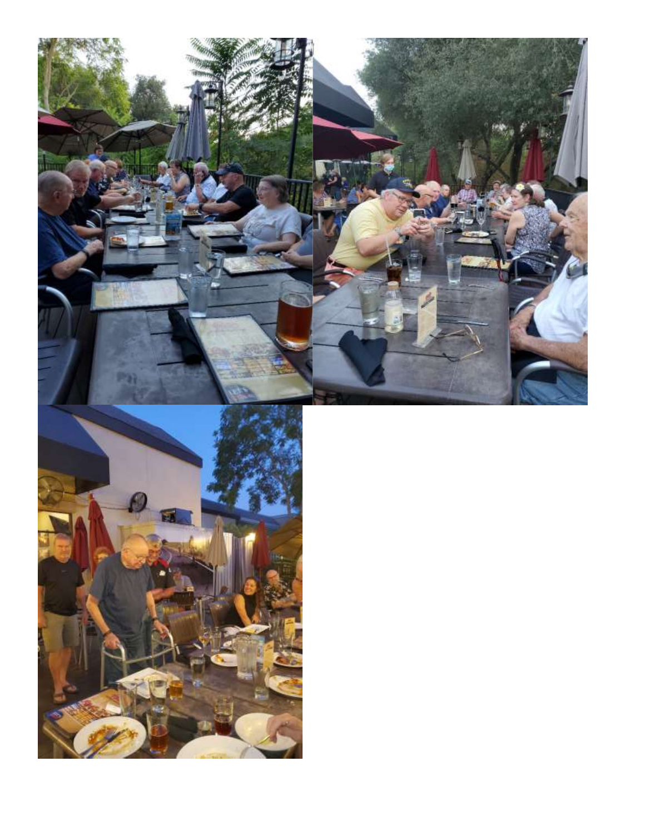![](_page_3_Picture_0.jpeg)

![](_page_3_Picture_1.jpeg)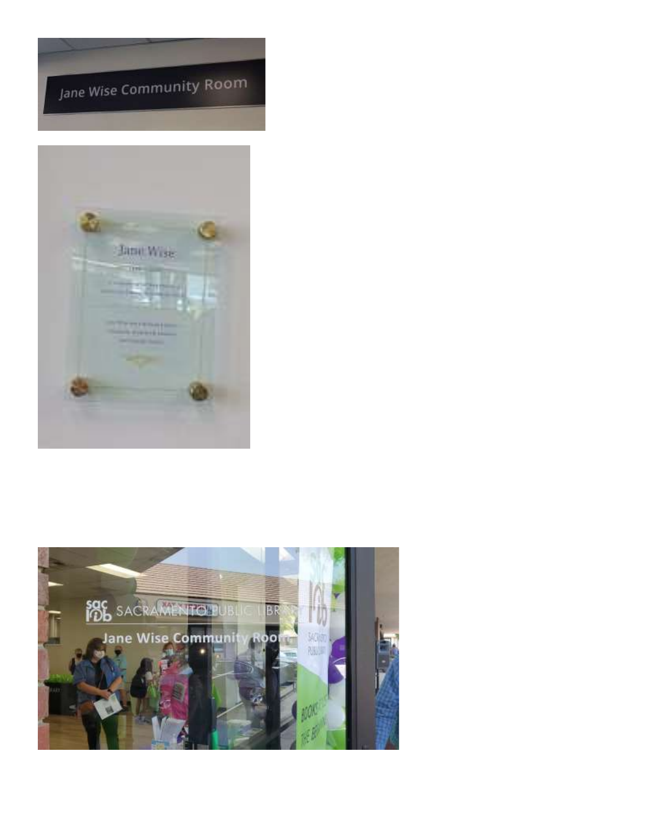![](_page_4_Picture_0.jpeg)

![](_page_4_Picture_1.jpeg)

![](_page_4_Picture_2.jpeg)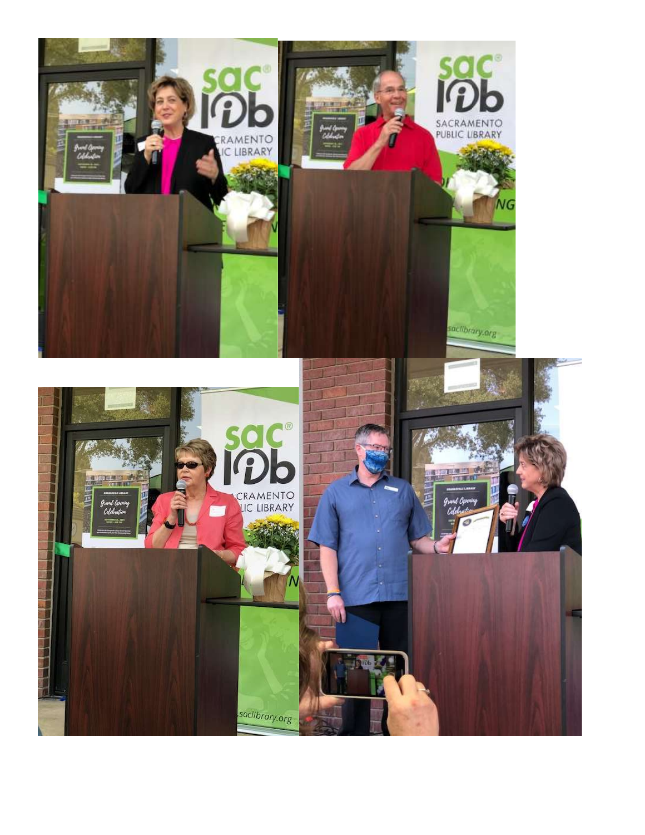![](_page_5_Picture_0.jpeg)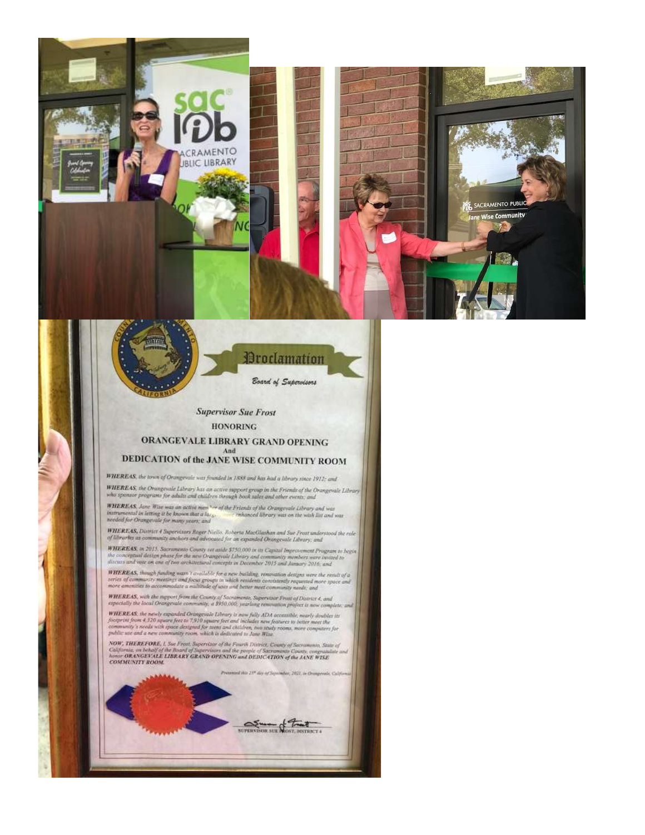![](_page_6_Picture_0.jpeg)

# *Proclamation*

#### Board of Supervisors

#### **Supervisor Sue Frost HONORING** ORANGEVALE LIBRARY GRAND OPENING And

#### DEDICATION of the JANE WISE COMMUNITY ROOM

WHEREAS, the town of Orangevale was fenalded in 1888 and has had a library since 1912; and

WHEREAS, the Orangevale Library has an active support group in the Friends of the Orangevale Library<br>who sponsor programs for adalts and children through book sales and other events; and

**WHEREAS**. Jone Was was an active new tor of the Friends of the Orangevale Library and vast instrumental in letting it be known that a large conducted library was on the wish list and vast instrumental in letting it be known that a lazz-

WHEREAS, District 4 Supervisors Roger Niello. Roberta MacGlashan and Sue Frost understood the role of libraries at community anchors and advocated for an expanded Orangevale Library, and

WHEREAS, in 2015, Socramento County set aside \$750,000 in its Capital Improvement Program to begin<br>the conceptual design phase for the new Orangevale Library and community members were invited to<br>discuss and vote on one of

WHEREAS, though funding warn 't coulable for a new building, renovation designs were the result of a<br>series of community meetings and focus groups in which residents constatently requested more space and<br>more amenities to

WHEREAS, with the support from the Causty of Sacramento, Supervisor Ernst of District 4, and<br>especially the local Orangevale community, a \$950,000, yearling removation profect is now complete

**WHEREAS**, the newly expanded Orangeside Library is now fully ADA accessible, marly doubles its<br>footprint from 4.200 square fees to 7.910 square feet and includes new features to helice meet the<br>community's meets with app

NOW, THEREFORE, I. Sue Front. Supervisor of the Fourth Divinet, County of Sucramonia, State<br>California, an behalf of the Roard of Supervisors and the people of Sucramonic County, comparation of AAVE FIRE LOBERT GRAND OPENI mio, State of

Presented this 23<sup>6</sup> day of Septimber, 2021, in Orange

Sum of tract